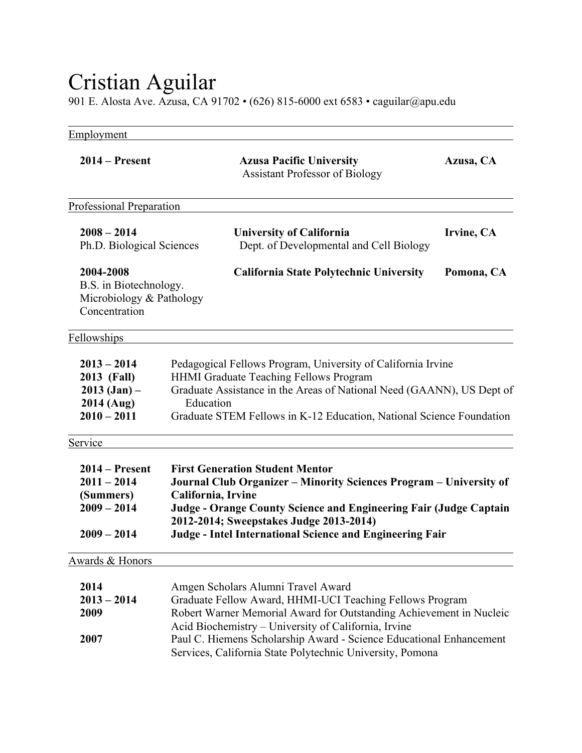## Cristian Aguilar

901 E. Alosta Ave. Azusa, CA 91702 • (626) 815-6000 ext 6583 • caguilar@apu.edu

| Employment                                                                       |                                                                                                                                                                                                                                                                                                                                                                   |            |
|----------------------------------------------------------------------------------|-------------------------------------------------------------------------------------------------------------------------------------------------------------------------------------------------------------------------------------------------------------------------------------------------------------------------------------------------------------------|------------|
| $2014 -$ Present                                                                 | <b>Azusa Pacific University</b><br><b>Assistant Professor of Biology</b>                                                                                                                                                                                                                                                                                          | Azusa, CA  |
| Professional Preparation                                                         |                                                                                                                                                                                                                                                                                                                                                                   |            |
| $2008 - 2014$<br>Ph.D. Biological Sciences                                       | <b>University of California</b><br>Dept. of Developmental and Cell Biology                                                                                                                                                                                                                                                                                        | Irvine, CA |
| 2004-2008<br>B.S. in Biotechnology.<br>Microbiology & Pathology<br>Concentration | California State Polytechnic University                                                                                                                                                                                                                                                                                                                           | Pomona, CA |
| Fellowships                                                                      |                                                                                                                                                                                                                                                                                                                                                                   |            |
| $2013 - 2014$<br>2013 (Fall)<br>$2013$ (Jan) –<br>2014 (Aug)<br>$2010 - 2011$    | Pedagogical Fellows Program, University of California Irvine<br><b>HHMI Graduate Teaching Fellows Program</b><br>Graduate Assistance in the Areas of National Need (GAANN), US Dept of<br>Education<br>Graduate STEM Fellows in K-12 Education, National Science Foundation                                                                                       |            |
| Service                                                                          |                                                                                                                                                                                                                                                                                                                                                                   |            |
| $2014 -$ Present<br>$2011 - 2014$<br>(Summers)<br>$2009 - 2014$<br>$2009 - 2014$ | <b>First Generation Student Mentor</b><br>Journal Club Organizer - Minority Sciences Program - University of<br>California, Irvine<br>Judge - Orange County Science and Engineering Fair (Judge Captain<br>2012-2014; Sweepstakes Judge 2013-2014)<br><b>Judge - Intel International Science and Engineering Fair</b>                                             |            |
| Awards & Honors                                                                  |                                                                                                                                                                                                                                                                                                                                                                   |            |
| 2014<br>$2013 - 2014$<br>2009<br>2007                                            | Amgen Scholars Alumni Travel Award<br>Graduate Fellow Award, HHMI-UCI Teaching Fellows Program<br>Robert Warner Memorial Award for Outstanding Achievement in Nucleic<br>Acid Biochemistry - University of California, Irvine<br>Paul C. Hiemens Scholarship Award - Science Educational Enhancement<br>Services, California State Polytechnic University, Pomona |            |